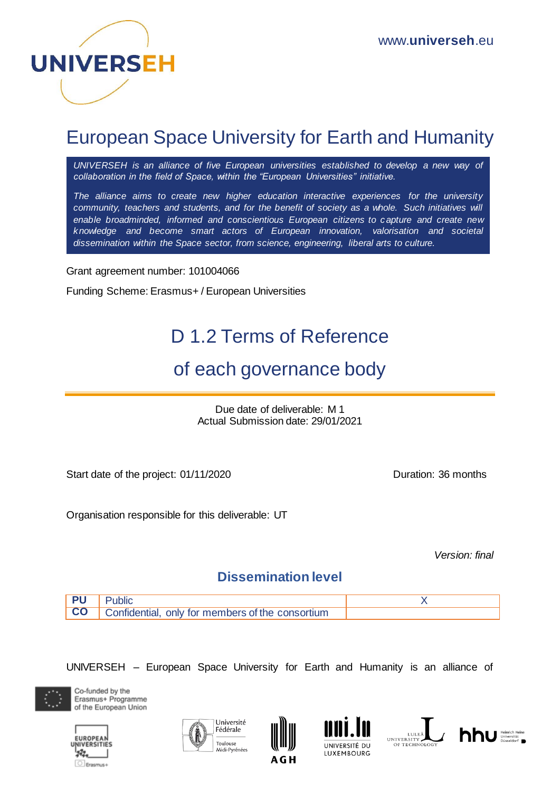

# European Space University for Earth and Humanity

*UNIVERSEH is an alliance of five European universities established to develop a new way of collaboration in the field of Space, within the "European Universities" initiative.*

*The alliance aims to create new higher education interactive experiences for the university community, teachers and students, and for the benefit of society as a whole. Such initiatives will enable broadminded, informed and conscientious European citizens to capture and create new knowledge and become smart actors of European innovation, valorisation and societal dissemination within the Space sector, from science, engineering, liberal arts to culture.*

Grant agreement number: 101004066

Funding Scheme: Erasmus+ / European Universities

# D 1.2 Terms of Reference

## of each governance body

Due date of deliverable: M 1 Actual Submission date: 29/01/2021

Start date of the project: 01/11/2020 Duration: 36 months

Organisation responsible for this deliverable: UT

*Version: final* 

### **Dissemination level**



UNIVERSEH – European Space University for Earth and Humanity is an alliance of













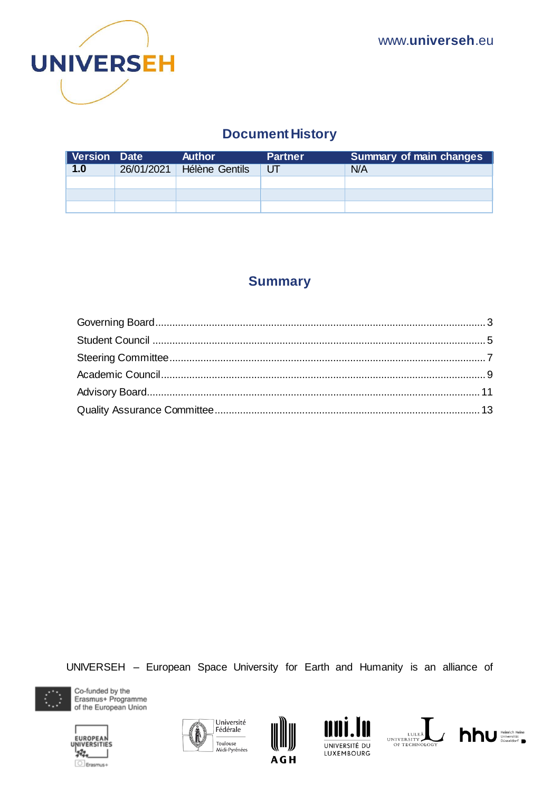

## **Document History**

| Version Date |            | <b>Author</b>         | <b>Partner</b> | <b>Summary of main changes</b> |
|--------------|------------|-----------------------|----------------|--------------------------------|
| 1.0          | 26/01/2021 | <b>Hélène Gentils</b> | UТ             | N/A                            |
|              |            |                       |                |                                |
|              |            |                       |                |                                |
|              |            |                       |                |                                |

### **Summary**

UNIVERSEH - European Space University for Earth and Humanity is an alliance of













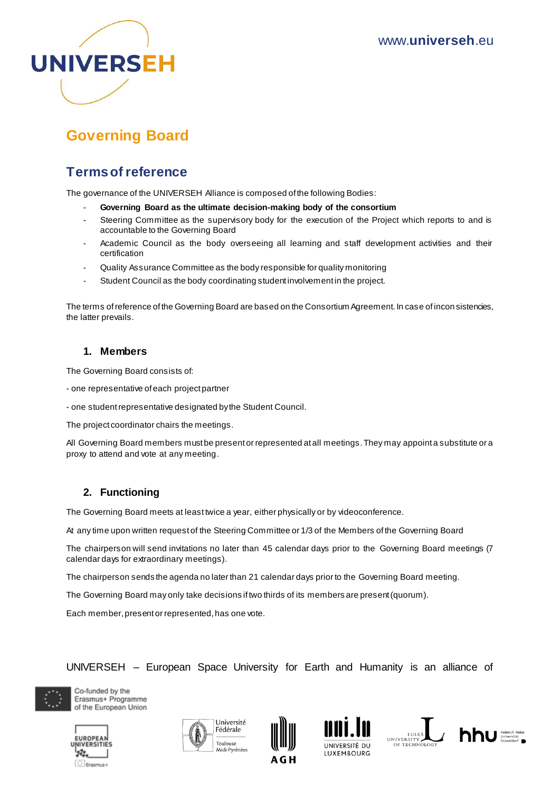

## <span id="page-2-0"></span>**Governing Board**

## **Terms of reference**

The governance of the UNIVERSEH Alliance is composed of the following Bodies:

- **Governing Board as the ultimate decision-making body of the consortium**
- Steering Committee as the supervisory body for the execution of the Project which reports to and is accountable to the Governing Board
- Academic Council as the body overseeing all learning and staff development activities and their certification
- Quality Assurance Committee as the body responsible for quality monitoring
- Student Council as the body coordinating student involvement in the project.

The terms of reference of the Governing Board are based on the Consortium Agreement. In case of incon sistencies, the latter prevails.

#### **1. Members**

The Governing Board consists of:

- one representative of each project partner
- one student representative designated by the Student Council.

The project coordinator chairs the meetings.

All Governing Board members must be present or represented at all meetings. They may appoint a substitute or a proxy to attend and vote at any meeting.

#### **2. Functioning**

The Governing Board meets at least twice a year, either physically or by videoconference.

At any time upon written request of the Steering Committee or 1/3 of the Members of the Governing Board

The chairperson will send invitations no later than 45 calendar days prior to the Governing Board meetings (7 calendar days for extraordinary meetings).

The chairperson sends the agenda no later than 21 calendar days prior to the Governing Board meeting.

The Governing Board may only take decisions if two thirds of its members are present (quorum).

Each member, present or represented, has one vote.

UNIVERSEH – European Space University for Earth and Humanity is an alliance of













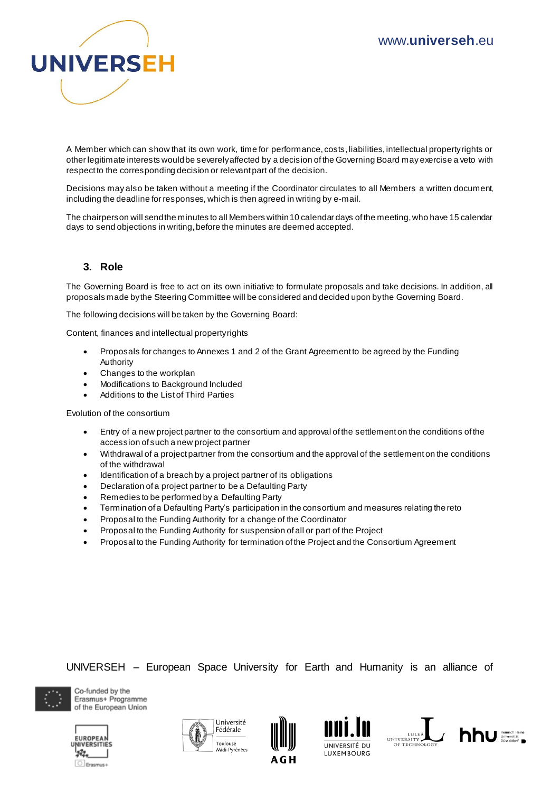

A Member which can show that its own work, time for performance, costs, liabilities, intellectual property rights or other legitimate interests would be severely affected by a decision of the Governing Board may exercise a veto with respect to the corresponding decision or relevant part of the decision.

Decisions may also be taken without a meeting if the Coordinator circulates to all Members a written document, including the deadline for responses, which is then agreed in writing by e-mail.

The chairperson will send the minutes to all Members within 10 calendar days of the meeting, who have 15 calendar days to send objections in writing, before the minutes are deemed accepted.

#### **3. Role**

The Governing Board is free to act on its own initiative to formulate proposals and take decisions. In addition, all proposals made by the Steering Committee will be considered and decided upon by the Governing Board.

The following decisions will be taken by the Governing Board:

Content, finances and intellectual property rights

- Proposals for changes to Annexes 1 and 2 of the Grant Agreement to be agreed by the Funding Authority
- Changes to the workplan
- Modifications to Background Included
- Additions to the List of Third Parties

Evolution of the consortium

- Entry of a new project partner to the consortium and approval of the settlement on the conditions of the accession of such a new project partner
- Withdrawal of a project partner from the consortium and the approval of the settlement on the conditions of the withdrawal
- Identification of a breach by a project partner of its obligations
- Declaration of a project partner to be a Defaulting Party
- Remedies to be performed by a Defaulting Party
- Termination of a Defaulting Party's participation in the consortium and measures relating the reto
- Proposal to the Funding Authority for a change of the Coordinator
- Proposal to the Funding Authority for suspension of all or part of the Project
- Proposal to the Funding Authority for termination of the Project and the Consortium Agreement

UNIVERSEH – European Space University for Earth and Humanity is an alliance of













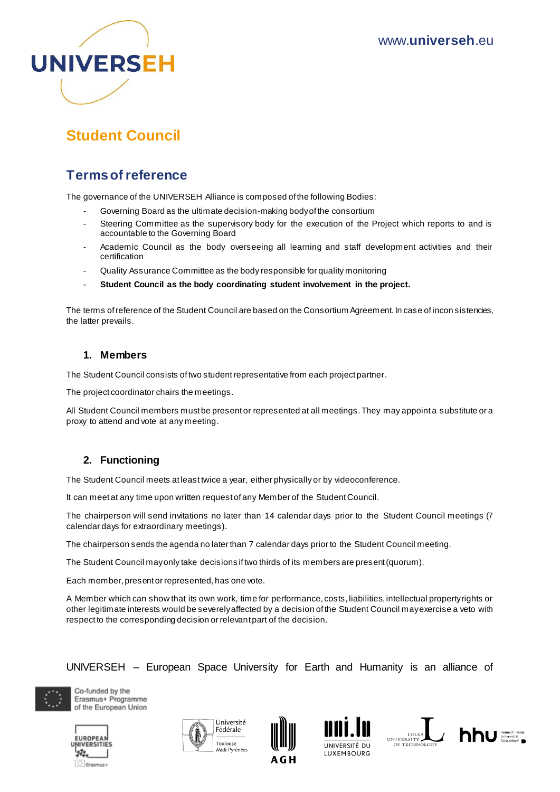

## <span id="page-4-0"></span>**Student Council**

### **Terms of reference**

The governance of the UNIVERSEH Alliance is composed of the following Bodies:

- Governing Board as the ultimate decision-making body of the consortium
- Steering Committee as the supervisory body for the execution of the Project which reports to and is accountable to the Governing Board
- Academic Council as the body overseeing all learning and staff development activities and their certification
- Quality Assurance Committee as the body responsible for quality monitoring
- **Student Council as the body coordinating student involvement in the project.**

The terms of reference of the Student Council are based on the Consortium Agreement. In case of incon sistencies, the latter prevails.

#### **1. Members**

The Student Council consists of two student representative from each project partner.

The project coordinator chairs the meetings.

All Student Council members must be present or represented at all meetings. They may appoint a substitute or a proxy to attend and vote at any meeting.

#### **2. Functioning**

The Student Council meets at least twice a year, either physically or by videoconference.

It can meet at any time upon written request of any Member of the Student Council.

The chairperson will send invitations no later than 14 calendar days prior to the Student Council meetings (7 calendar days for extraordinary meetings).

The chairperson sends the agenda no later than 7 calendar days prior to the Student Council meeting.

The Student Council may only take decisions if two thirds of its members are present (quorum).

Each member, present or represented, has one vote.

A Member which can show that its own work, time for performance, costs, liabilities, intellectual property rights or other legitimate interests would be severely affected by a decision of the Student Council may exercise a veto with respect to the corresponding decision or relevant part of the decision.

UNIVERSEH – European Space University for Earth and Humanity is an alliance of













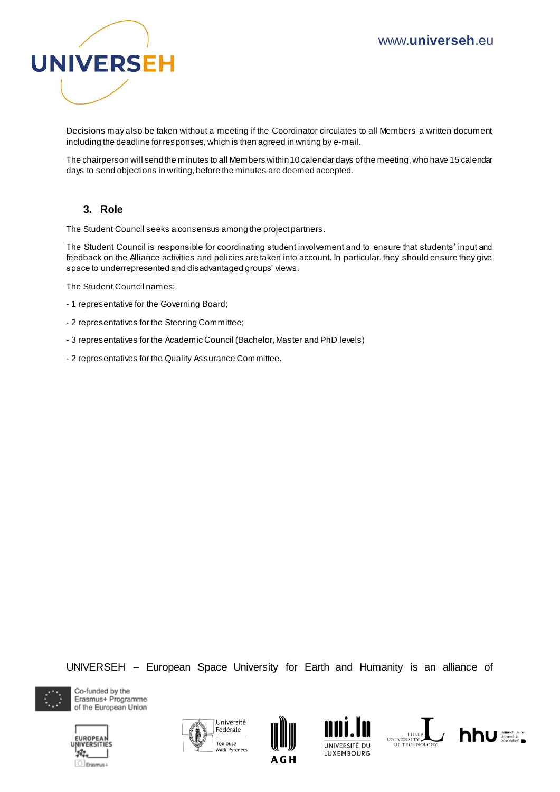

Decisions may also be taken without a meeting if the Coordinator circulates to all Members a written document, including the deadline for responses, which is then agreed in writing by e-mail.

The chairperson will send the minutes to all Members within 10 calendar days of the meeting, who have 15 calendar days to send objections in writing, before the minutes are deemed accepted.

#### **3. Role**

The Student Council seeks a consensus among the project partners.

The Student Council is responsible for coordinating student involvement and to ensure that students' input and feedback on the Alliance activities and policies are taken into account. In particular, they should ensure they give space to underrepresented and disadvantaged groups' views.

The Student Council names:

- 1 representative for the Governing Board;
- 2 representatives for the Steering Committee;
- 3 representatives for the Academic Council (Bachelor, Master and PhD levels)
- 2 representatives for the Quality Assurance Com mittee.

UNIVERSEH – European Space University for Earth and Humanity is an alliance of













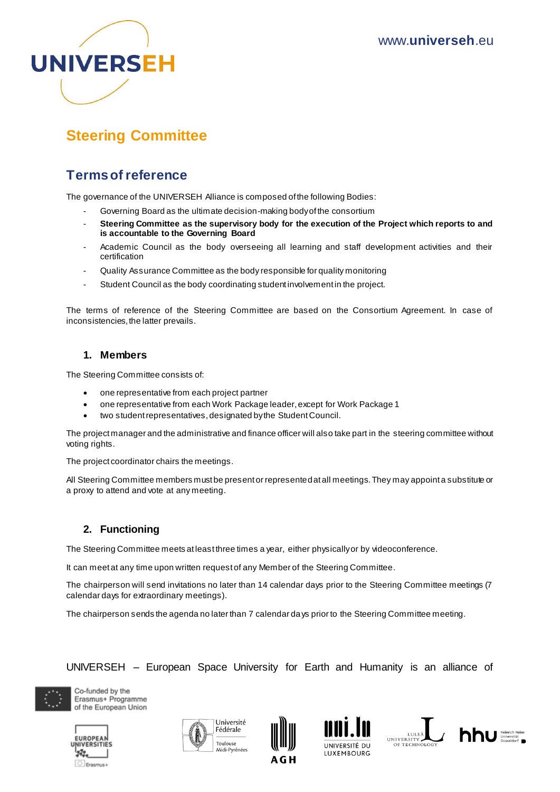

## <span id="page-6-0"></span>**Steering Committee**

### **Terms of reference**

The governance of the UNIVERSEH Alliance is composed of the following Bodies:

- Governing Board as the ultimate decision-making body of the consortium
- **Steering Committee as the supervisory body for the execution of the Project which reports to and is accountable to the Governing Board**
- Academic Council as the body overseeing all learning and staff development activities and their certification
- Quality Assurance Committee as the body responsible for quality monitoring
- Student Council as the body coordinating student involvement in the project.

The terms of reference of the Steering Committee are based on the Consortium Agreement. In case of inconsistencies, the latter prevails.

#### **1. Members**

The Steering Committee consists of:

- one representative from each project partner
- one representative from each Work Package leader, except for Work Package 1
- two student representatives, designated by the Student Council.

The project manager and the administrative and finance officer will also take part in the steering committee without voting rights.

The project coordinator chairs the meetings.

All Steering Committee members must be present or represented at all meetings. They may appoint a substitute or a proxy to attend and vote at any meeting.

#### **2. Functioning**

The Steering Committee meets at least three times a year, either physically or by videoconference.

It can meet at any time upon written request of any Member of the Steering Committee.

The chairperson will send invitations no later than 14 calendar days prior to the Steering Committee meetings (7 calendar days for extraordinary meetings).

The chairperson sends the agenda no later than 7 calendar days prior to the Steering Committee meeting.

UNIVERSEH – European Space University for Earth and Humanity is an alliance of













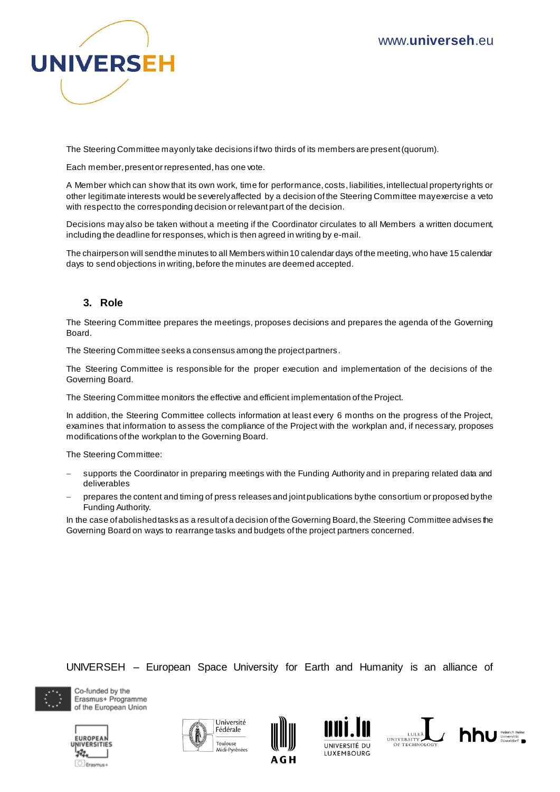

The Steering Committee may only take decisions if two thirds of its members are present (quorum).

Each member, present or represented, has one vote.

A Member which can show that its own work, time for performance, costs, liabilities, intellectual property rights or other legitimate interests would be severely affected by a decision of the Steering Committee may exercise a veto with respect to the corresponding decision or relevant part of the decision.

Decisions may also be taken without a meeting if the Coordinator circulates to all Members a written document, including the deadline for responses, which is then agreed in writing by e-mail.

The chairperson will send the minutes to all Members within 10 calendar days of the meeting, who have 15 calendar days to send objections in writing, before the minutes are deemed accepted.

#### **3. Role**

The Steering Committee prepares the meetings, proposes decisions and prepares the agenda of the Governing Board.

The Steering Committee seeks a consensus among the project partners.

The Steering Committee is responsible for the proper execution and implementation of the decisions of the Governing Board.

The Steering Committee monitors the effective and efficient implementation of the Project.

In addition, the Steering Committee collects information at least every 6 months on the progress of the Project, examines that information to assess the compliance of the Project with the workplan and, if necessary, proposes modifications of the workplan to the Governing Board.

The Steering Committee:

- supports the Coordinator in preparing meetings with the Funding Authority and in preparing related data and deliverables
- prepares the content and timing of press releases and joint publications by the consortium or proposed by the Funding Authority.

In the case of abolished tasks as a result of a decision of the Governing Board, the Steering Committee advises the Governing Board on ways to rearrange tasks and budgets of the project partners concerned.

UNIVERSEH – European Space University for Earth and Humanity is an alliance of













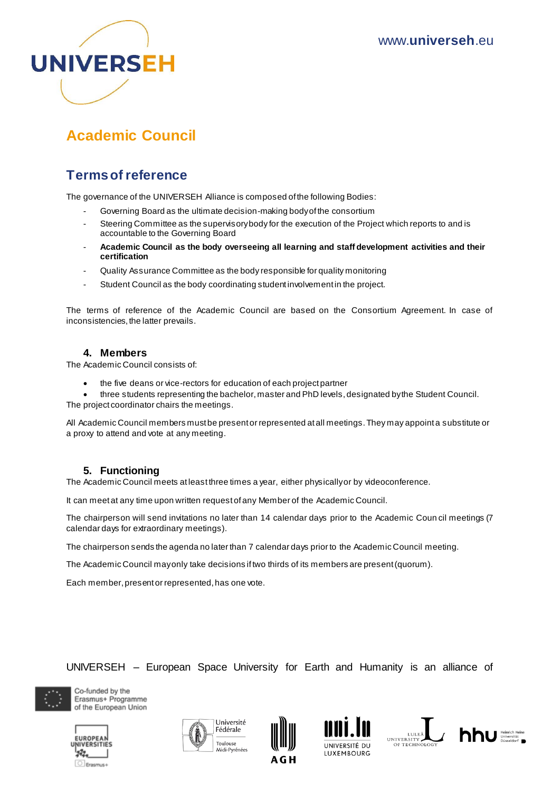

## <span id="page-8-0"></span>**Academic Council**

### **Terms of reference**

The governance of the UNIVERSEH Alliance is composed of the following Bodies:

- Governing Board as the ultimate decision-making body of the consortium
- Steering Committee as the supervisory body for the execution of the Project which reports to and is accountable to the Governing Board
- **Academic Council as the body overseeing all learning and staff development activities and their certification**
- Quality Assurance Committee as the body responsible for quality monitoring
- Student Council as the body coordinating student involvement in the project.

The terms of reference of the Academic Council are based on the Consortium Agreement. In case of inconsistencies, the latter prevails.

#### **4. Members**

The Academic Council consists of:

the five deans or vice-rectors for education of each project partner

 three students representing the bachelor, master and PhD levels, designated by the Student Council. The project coordinator chairs the meetings.

All Academic Council members must be present or represented at all meetings. They may appoint a substitute or a proxy to attend and vote at any meeting.

#### **5. Functioning**

The Academic Council meets at least three times a year, either physically or by videoconference.

It can meet at any time upon written request of any Member of the Academic Council.

The chairperson will send invitations no later than 14 calendar days prior to the Academic Coun cil meetings (7 calendar days for extraordinary meetings).

The chairperson sends the agenda no later than 7 calendar days prior to the Academic Council meeting.

The Academic Council may only take decisions if two thirds of its members are present (quorum).

Each member, present or represented, has one vote.

UNIVERSEH – European Space University for Earth and Humanity is an alliance of













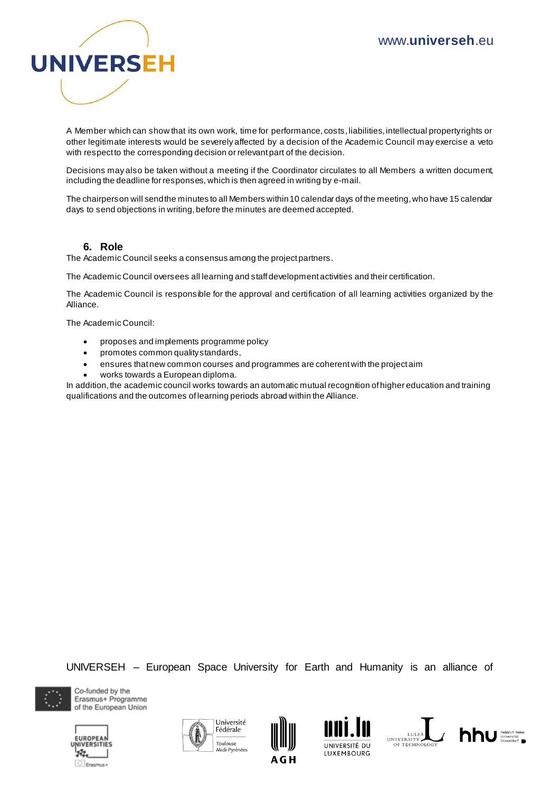

A Member which can show that its own work, time for performance, costs, liabilities, intellectual property rights or other legitimate interests would be severely affected by a decision of the Academic Council may exercise a veto with respect to the corresponding decision or relevant part of the decision.

Decisions may also be taken without a meeting if the Coordinator circulates to all Members a written document, including the deadline for responses, which is then agreed in writing by e-mail.

The chairperson will send the minutes to all Members within 10 calendar days of the meeting, who have 15 calendar days to send objections in writing, before the minutes are deemed accepted.

#### **6. Role**

The Academic Council seeks a consensus among the project partners.

The Academic Council oversees all learning and staff development activities and their certification.

The Academic Council is responsible for the approval and certification of all learning activities organized by the Alliance.

The Academic Council:

- proposes and implements programme policy
- promotes common quality standards,
- ensures that new common courses and programmes are coherent with the project aim
- works towards a European diploma.

In addition, the academic council works towards an automatic mutual recognition of higher education and training qualifications and the outcomes of learning periods abroad within the Alliance.

UNIVERSEH – European Space University for Earth and Humanity is an alliance of













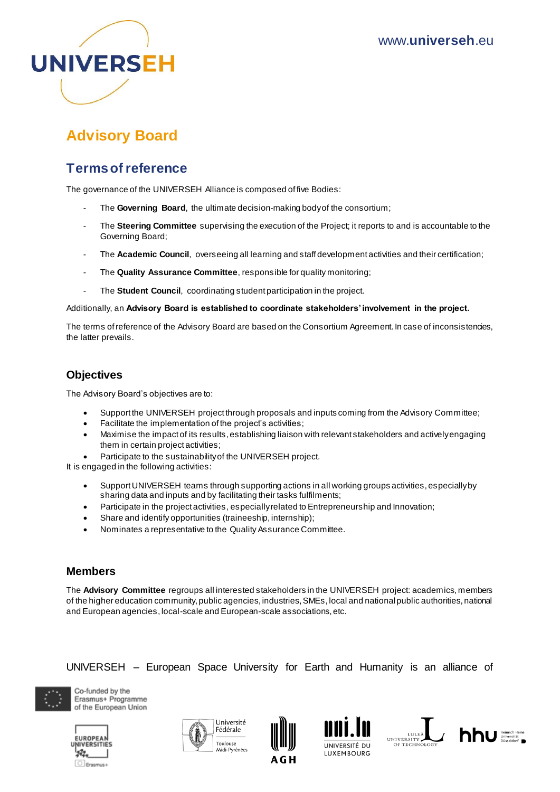

## <span id="page-10-0"></span>**Advisory Board**

## **Terms of reference**

The governance of the UNIVERSEH Alliance is composed of five Bodies:

- The **Governing Board**, the ultimate decision-making body of the consortium;
- The **Steering Committee** supervising the execution of the Project; it reports to and is accountable to the Governing Board;
- The **Academic Council**, overseeing all learning and staff development activities and their certification;
- The **Quality Assurance Committee**, responsible for quality monitoring;
- The **Student Council**, coordinating student participation in the project.

#### Additionally, an **Advisory Board is established to coordinate stakeholders' involvement in the project.**

The terms of reference of the Advisory Board are based on the Consortium Agreement. In case of inconsistencies, the latter prevails.

#### **Objectives**

The Advisory Board's objectives are to:

- Support the UNIVERSEH project through proposals and inputs coming from the Advisory Committee;
- Facilitate the implementation of the project's activities;
- Maximise the impact of its results, establishing liaison with relevant stakeholders and actively engaging them in certain project activities;
- Participate to the sustainability of the UNIVERSEH project.

It is engaged in the following activities:

- Support UNIVERSEH teams through supporting actions in all working groups activities, especially by sharing data and inputs and by facilitating their tasks fulfilments;
- Participate in the project activities, especially related to Entrepreneurship and Innovation;
- Share and identify opportunities (traineeship, internship);
- Nominates a representative to the Quality Assurance Committee.

#### **Members**

The **Advisory Committee** regroups all interested stakeholders in the UNIVERSEH project: academics, members of the higher education community, public agencies, industries, SMEs, local and national public authorities, national and European agencies, local-scale and European-scale associations, etc.

#### UNIVERSEH – European Space University for Earth and Humanity is an alliance of













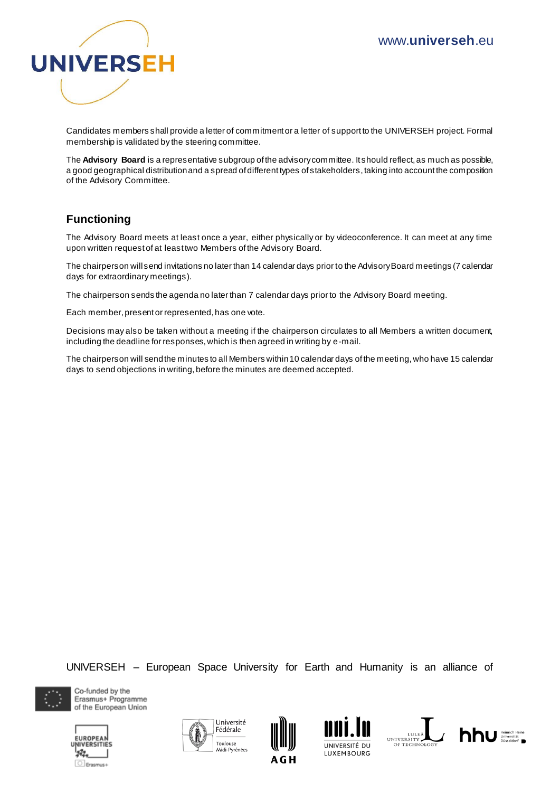

Candidates members shall provide a letter of commitment or a letter of support to the UNIVERSEH project. Formal membership is validated by the steering committee.

The **Advisory Board** is a representative subgroup of the advisory committee. It should reflect, as much as possible, a good geographical distribution and a spread of different types of stakeholders, taking into account the composition of the Advisory Committee.

#### **Functioning**

The Advisory Board meets at least once a year, either physically or by videoconference. It can meet at any time upon written request of at least two Members of the Advisory Board.

The chairperson will send invitations no later than 14 calendar days prior to the Advisory Board meetings (7 calendar days for extraordinary meetings).

The chairperson sends the agenda no later than 7 calendar days prior to the Advisory Board meeting.

Each member, present or represented, has one vote.

Decisions may also be taken without a meeting if the chairperson circulates to all Members a written document, including the deadline for responses, which is then agreed in writing by e-mail.

The chairperson will send the minutes to all Members within 10 calendar days of the meeting, who have 15 calendar days to send objections in writing, before the minutes are deemed accepted.

UNIVERSEH – European Space University for Earth and Humanity is an alliance of













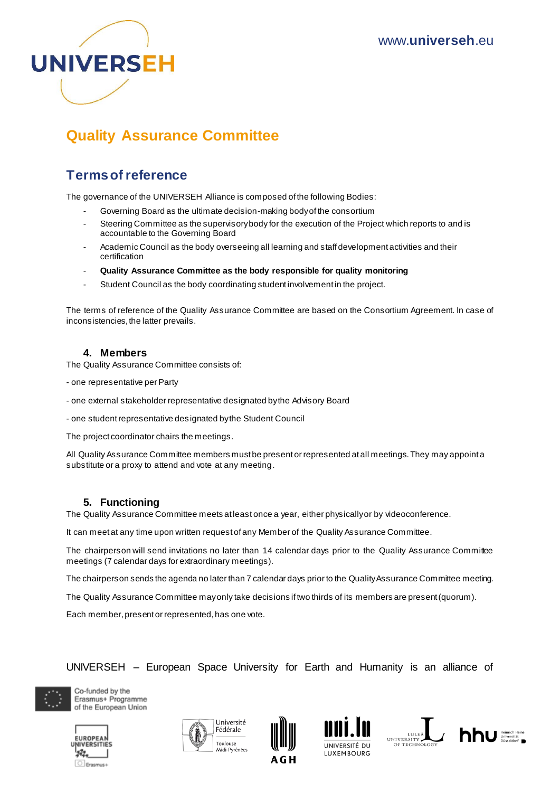

## <span id="page-12-0"></span>**Quality Assurance Committee**

### **Terms of reference**

The governance of the UNIVERSEH Alliance is composed of the following Bodies:

- Governing Board as the ultimate decision-making body of the consortium
- Steering Committee as the supervisory body for the execution of the Project which reports to and is accountable to the Governing Board
- Academic Council as the body overseeing all learning and staff development activities and their certification
- **Quality Assurance Committee as the body responsible for quality monitoring**
- Student Council as the body coordinating student involvement in the project.

The terms of reference of the Quality Assurance Committee are based on the Consortium Agreement. In case of inconsistencies, the latter prevails.

#### **4. Members**

The Quality Assurance Committee consists of:

- one representative per Party

- one external stakeholder representative designated by the Advisory Board
- one student representative designated by the Student Council

The project coordinator chairs the meetings.

All Quality Assurance Committee members must be present or represented at all meetings. They may appoint a substitute or a proxy to attend and vote at any meeting.

#### **5. Functioning**

The Quality Assurance Committee meets at least once a year, either physically or by videoconference.

It can meet at any time upon written request of any Member of the Quality Assurance Committee.

The chairperson will send invitations no later than 14 calendar days prior to the Quality Assurance Committee meetings (7 calendar days for extraordinary meetings).

The chairperson sends the agenda no later than 7 calendar days prior to the Quality Assurance Committee meeting.

The Quality Assurance Committee may only take decisions if two thirds of its members are present (quorum).

Each member, present or represented, has one vote.

UNIVERSEH – European Space University for Earth and Humanity is an alliance of